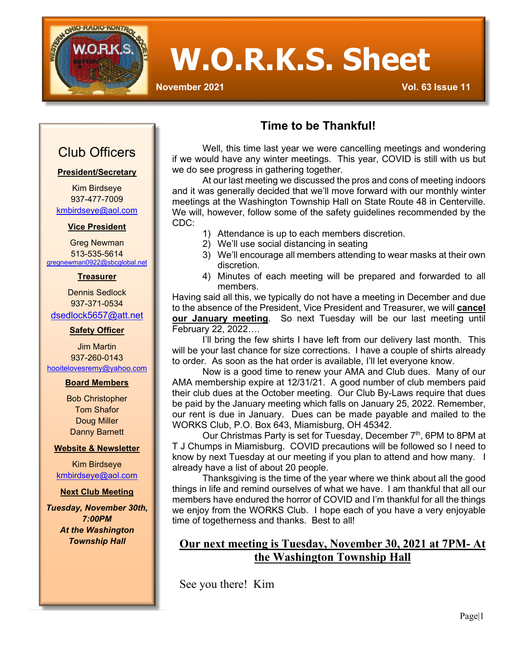

# **W.O.R.K.S. Sheet**

 $\overline{\mathbb{I}}$ 

**November 2021 Vol. 63 Issue 11**

# Club Officers

#### **President/Secretary**

Kim Birdseye 937-477-7009 [kmbirdseye@aol.com](mailto:kmbirdseye@aol.com)

#### **Vice President**

Greg Newman 513-535-5614 [gregnewman0922@sbcglobal.net](mailto:gregnewman0922@sbcglobal.net)

#### **Treasurer**

Dennis Sedlock 937-371-0534 [dsedlock5657@att.net](mailto:dsedlock5657@att.net)

#### **Safety Officer**

Jim Martin 937-260-0143 [hooitelovesremy@yahoo.com](mailto:hooitelovesremy@yahoo.com)

#### **Board Members**

Bob Christopher Tom Shafor Doug Miller Danny Barnett

#### **Website & Newsletter**

Kim Birdseye [kmbirdseye@aol.com](mailto:kmbirdseye@aol.com)

#### **Next Club Meeting**

*Tuesday, November 30th, 7:00PM At the Washington Township Hall*

## **Time to be Thankful!**

Well, this time last year we were cancelling meetings and wondering if we would have any winter meetings. This year, COVID is still with us but we do see progress in gathering together.

At our last meeting we discussed the pros and cons of meeting indoors and it was generally decided that we'll move forward with our monthly winter meetings at the Washington Township Hall on State Route 48 in Centerville. We will, however, follow some of the safety guidelines recommended by the CDC:

- 1) Attendance is up to each members discretion.
- 2) We'll use social distancing in seating
- 3) We'll encourage all members attending to wear masks at their own discretion.
- 4) Minutes of each meeting will be prepared and forwarded to all members.

Having said all this, we typically do not have a meeting in December and due to the absence of the President, Vice President and Treasurer, we will **cancel our January meeting**. So next Tuesday will be our last meeting until February 22, 2022….

I'll bring the few shirts I have left from our delivery last month. This will be your last chance for size corrections. I have a couple of shirts already to order. As soon as the hat order is available, I'll let everyone know.

Now is a good time to renew your AMA and Club dues. Many of our AMA membership expire at 12/31/21. A good number of club members paid their club dues at the October meeting. Our Club By-Laws require that dues be paid by the January meeting which falls on January 25, 2022. Remember, our rent is due in January. Dues can be made payable and mailed to the WORKS Club, P.O. Box 643, Miamisburg, OH 45342.

Our Christmas Party is set for Tuesday, December 7<sup>th</sup>, 6PM to 8PM at T J Chumps in Miamisburg. COVID precautions will be followed so I need to know by next Tuesday at our meeting if you plan to attend and how many. I already have a list of about 20 people.

Thanksgiving is the time of the year where we think about all the good things in life and remind ourselves of what we have. I am thankful that all our members have endured the horror of COVID and I'm thankful for all the things we enjoy from the WORKS Club. I hope each of you have a very enjoyable time of togetherness and thanks. Best to all!

### **Our next meeting is Tuesday, November 30, 2021 at 7PM- At the Washington Township Hall**

See you there! Kim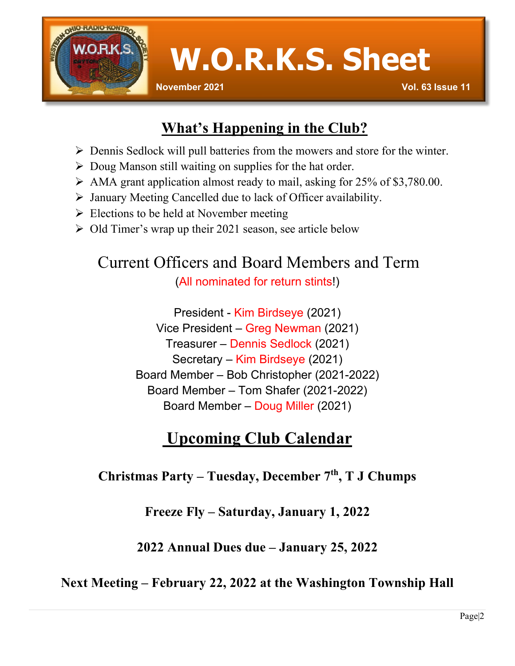

**W.O.R.K.S. Sheet**

# **What's Happening in the Club?**

- $\triangleright$  Dennis Sedlock will pull batteries from the mowers and store for the winter.
- $\triangleright$  Doug Manson still waiting on supplies for the hat order.
- $\triangleright$  AMA grant application almost ready to mail, asking for 25% of \$3,780.00.
- $\triangleright$  January Meeting Cancelled due to lack of Officer availability.
- $\triangleright$  Elections to be held at November meeting
- Old Timer's wrap up their 2021 season, see article below

# Current Officers and Board Members and Term (All nominated for return stints!)

President - Kim Birdseye (2021) Vice President – Greg Newman (2021) Treasurer – Dennis Sedlock (2021) Secretary – Kim Birdseye (2021) Board Member – Bob Christopher (2021-2022) Board Member – Tom Shafer (2021-2022) Board Member – Doug Miller (2021)

# **Upcoming Club Calendar**

# **Christmas Party – Tuesday, December 7th, T J Chumps**

**Freeze Fly – Saturday, January 1, 2022**

**2022 Annual Dues due – January 25, 2022**

# **Next Meeting – February 22, 2022 at the Washington Township Hall**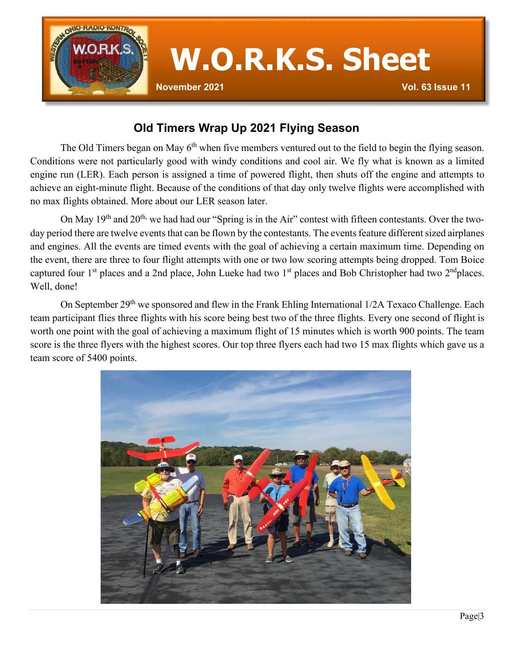

### **Old Timers Wrap Up 2021 Flying Season**

The Old Timers began on May 6<sup>th</sup> when five members ventured out to the field to begin the flying season. Conditions were not particularly good with windy conditions and cool air. We fly what is known as a limited engine run (LER). Each person is assigned a time of powered flight, then shuts off the engine and attempts to achieve an eight-minute flight. Because of the conditions of that day only twelve flights were accomplished with no max flights obtained. More about our LER season later.

On May 19<sup>th</sup> and 20<sup>th,</sup> we had had our "Spring is in the Air" contest with fifteen contestants. Over the twoday period there are twelve events that can be flown by the contestants. The events feature different sized airplanes and engines. All the events are timed events with the goal of achieving a certain maximum time. Depending on the event, there are three to four flight attempts with one or two low scoring attempts being dropped. Tom Boice captured four 1<sup>st</sup> places and a 2nd place, John Lueke had two 1<sup>st</sup> places and Bob Christopher had two 2<sup>nd</sup>places. Well, done!

On September 29<sup>th</sup> we sponsored and flew in the Frank Ehling International 1/2A Texaco Challenge. Each team participant flies three flights with his score being best two of the three flights. Every one second of flight is worth one point with the goal of achieving a maximum flight of 15 minutes which is worth 900 points. The team score is the three flyers with the highest scores. Our top three flyers each had two 15 max flights which gave us a team score of 5400 points.